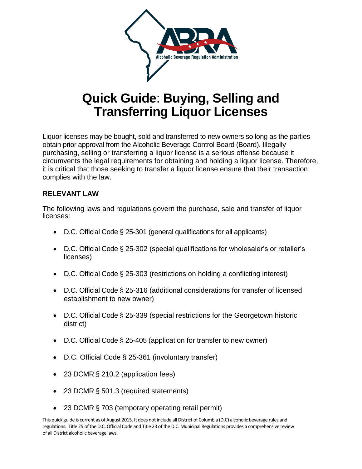

# **Quick Guide**: **Buying, Selling and Transferring Liquor Licenses**

Liquor licenses may be bought, sold and transferred to new owners so long as the parties obtain prior approval from the Alcoholic Beverage Control Board (Board). Illegally purchasing, selling or transferring a liquor license is a serious offense because it circumvents the legal requirements for obtaining and holding a liquor license. Therefore, it is critical that those seeking to transfer a liquor license ensure that their transaction complies with the law.

# **RELEVANT LAW**

The following laws and regulations govern the purchase, sale and transfer of liquor licenses:

- D.C. Official Code § 25-301 (general qualifications for all applicants)
- D.C. Official Code § 25-302 (special qualifications for wholesaler's or retailer's licenses)
- D.C. Official Code § 25-303 (restrictions on holding a conflicting interest)
- D.C. Official Code § 25-316 (additional considerations for transfer of licensed establishment to new owner)
- D.C. Official Code § 25-339 (special restrictions for the Georgetown historic district)
- D.C. Official Code § 25-405 (application for transfer to new owner)
- D.C. Official Code § 25-361 (involuntary transfer)
- 23 DCMR § 210.2 (application fees)
- 23 DCMR § 501.3 (required statements)
- 23 DCMR § 703 (temporary operating retail permit)

This quick guide is current as of August 2015. It does not include all District of Columbia (D.C) alcoholic beverage rules and regulations. Title 25 of the D.C. Official Code and Title 23 of the D.C. Municipal Regulations provides a comprehensive review of all District alcoholic beverage laws.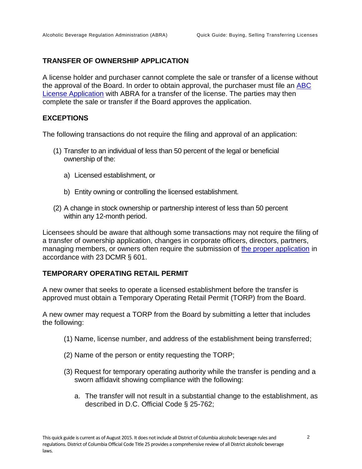## **TRANSFER OF OWNERSHIP APPLICATION**

A license holder and purchaser cannot complete the sale or transfer of a license without the approval of the Board. In order to obtain approval, the purchaser must file an [ABC](http://abra.dc.gov/node/668482)  [License Application](http://abra.dc.gov/node/668482) with ABRA for a transfer of the license. The parties may then complete the sale or transfer if the Board approves the application.

#### **EXCEPTIONS**

The following transactions do not require the filing and approval of an application:

- (1) Transfer to an individual of less than 50 percent of the legal or beneficial ownership of the:
	- a) Licensed establishment, or
	- b) Entity owning or controlling the licensed establishment.
- (2) A change in stock ownership or partnership interest of less than 50 percent within any 12-month period.

Licensees should be aware that although some transactions may not require the filing of a transfer of ownership application, changes in corporate officers, directors, partners, managing members, or owners often require the submission of [the proper application](http://abra.dc.gov/node/671242) in accordance with 23 DCMR § 601.

## **TEMPORARY OPERATING RETAIL PERMIT**

A new owner that seeks to operate a licensed establishment before the transfer is approved must obtain a Temporary Operating Retail Permit (TORP) from the Board.

A new owner may request a TORP from the Board by submitting a letter that includes the following:

- (1) Name, license number, and address of the establishment being transferred;
- (2) Name of the person or entity requesting the TORP;
- (3) Request for temporary operating authority while the transfer is pending and a sworn affidavit showing compliance with the following:
	- a. The transfer will not result in a substantial change to the establishment, as described in D.C. Official Code § 25-762;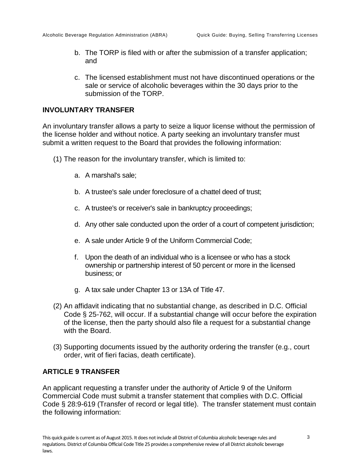- b. The TORP is filed with or after the submission of a transfer application; and
- c. The licensed establishment must not have discontinued operations or the sale or service of alcoholic beverages within the 30 days prior to the submission of the TORP.

#### **INVOLUNTARY TRANSFER**

An involuntary transfer allows a party to seize a liquor license without the permission of the license holder and without notice. A party seeking an involuntary transfer must submit a written request to the Board that provides the following information:

- (1) The reason for the involuntary transfer, which is limited to:
	- a. A marshal's sale;
	- b. A trustee's sale under foreclosure of a chattel deed of trust;
	- c. A trustee's or receiver's sale in bankruptcy proceedings;
	- d. Any other sale conducted upon the order of a court of competent jurisdiction;
	- e. A sale under Article 9 of the Uniform Commercial Code;
	- f. Upon the death of an individual who is a licensee or who has a stock ownership or partnership interest of 50 percent or more in the licensed business; or
	- g. A tax sale under Chapter 13 or 13A of Title 47.
- (2) An affidavit indicating that no substantial change, as described in D.C. Official Code § 25-762, will occur. If a substantial change will occur before the expiration of the license, then the party should also file a request for a substantial change with the Board.
- (3) Supporting documents issued by the authority ordering the transfer (e.g., court order, writ of fieri facias, death certificate).

#### **ARTICLE 9 TRANSFER**

An applicant requesting a transfer under the authority of Article 9 of the Uniform Commercial Code must submit a transfer statement that complies with D.C. Official Code § 28:9-619 (Transfer of record or legal title). The transfer statement must contain the following information: